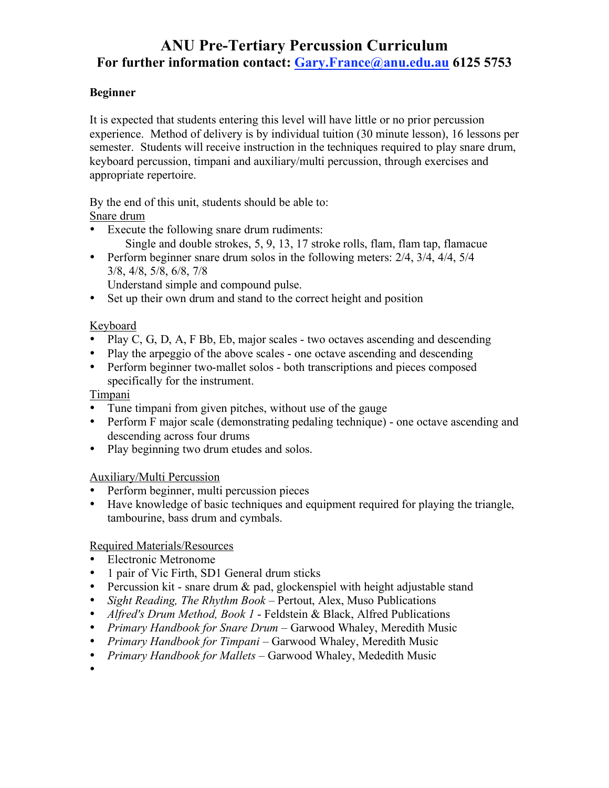# **ANU Pre-Tertiary Percussion Curriculum For further information contact: Gary.France@anu.edu.au 6125 5753**

#### **Beginner**

It is expected that students entering this level will have little or no prior percussion experience. Method of delivery is by individual tuition (30 minute lesson), 16 lessons per semester. Students will receive instruction in the techniques required to play snare drum, keyboard percussion, timpani and auxiliary/multi percussion, through exercises and appropriate repertoire.

By the end of this unit, students should be able to:

Snare drum

- Execute the following snare drum rudiments: Single and double strokes, 5, 9, 13, 17 stroke rolls, flam, flam tap, flamacue
- Perform beginner snare drum solos in the following meters: 2/4, 3/4, 4/4, 5/4 3/8, 4/8, 5/8, 6/8, 7/8

Understand simple and compound pulse.

• Set up their own drum and stand to the correct height and position

## Keyboard

- Play C, G, D, A, F Bb, Eb, major scales two octaves ascending and descending
- Play the arpeggio of the above scales one octave ascending and descending
- Perform beginner two-mallet solos both transcriptions and pieces composed specifically for the instrument.

#### **Timpani**

•

- Tune timpani from given pitches, without use of the gauge
- Perform F major scale (demonstrating pedaling technique) one octave ascending and descending across four drums
- Play beginning two drum etudes and solos.

#### Auxiliary/Multi Percussion

- Perform beginner, multi percussion pieces
- Have knowledge of basic techniques and equipment required for playing the triangle, tambourine, bass drum and cymbals.

#### Required Materials/Resources

- Electronic Metronome
- 1 pair of Vic Firth, SD1 General drum sticks
- Percussion kit snare drum & pad, glockenspiel with height adjustable stand
- *Sight Reading, The Rhythm Book* Pertout, Alex, Muso Publications
- *Alfred's Drum Method, Book 1* Feldstein & Black, Alfred Publications
- *Primary Handbook for Snare Drum* Garwood Whaley, Meredith Music
- *Primary Handbook for Timpani* Garwood Whaley, Meredith Music
- *Primary Handbook for Mallets* Garwood Whaley, Mededith Music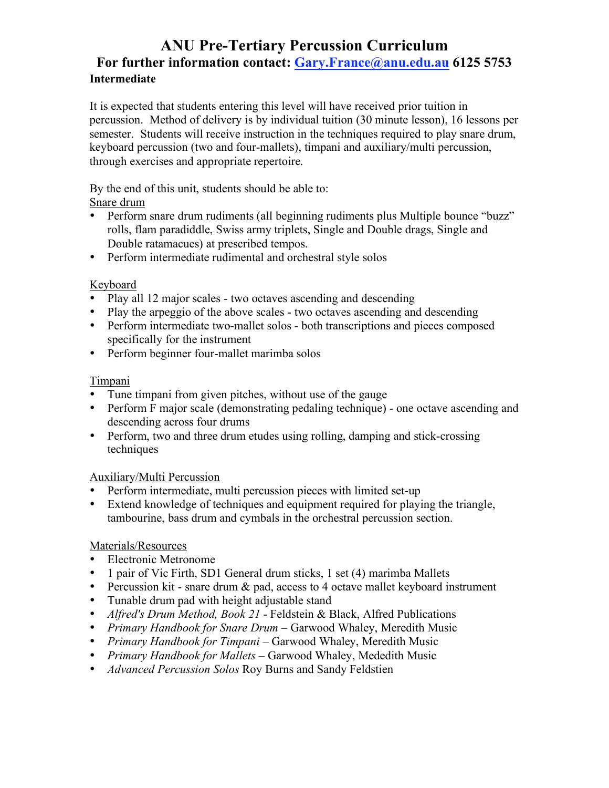## **ANU Pre-Tertiary Percussion Curriculum For further information contact: Gary.France@anu.edu.au 6125 5753 Intermediate**

It is expected that students entering this level will have received prior tuition in percussion. Method of delivery is by individual tuition (30 minute lesson), 16 lessons per semester. Students will receive instruction in the techniques required to play snare drum, keyboard percussion (two and four-mallets), timpani and auxiliary/multi percussion, through exercises and appropriate repertoire.

By the end of this unit, students should be able to:

#### Snare drum

- Perform snare drum rudiments (all beginning rudiments plus Multiple bounce "buzz" rolls, flam paradiddle, Swiss army triplets, Single and Double drags, Single and Double ratamacues) at prescribed tempos.
- Perform intermediate rudimental and orchestral style solos

## Keyboard

- Play all 12 major scales two octaves ascending and descending
- Play the arpeggio of the above scales two octaves ascending and descending
- Perform intermediate two-mallet solos both transcriptions and pieces composed specifically for the instrument
- Perform beginner four-mallet marimba solos

#### Timpani

- Tune timpani from given pitches, without use of the gauge
- Perform F major scale (demonstrating pedaling technique) one octave ascending and descending across four drums
- Perform, two and three drum etudes using rolling, damping and stick-crossing techniques

## Auxiliary/Multi Percussion

- Perform intermediate, multi percussion pieces with limited set-up
- Extend knowledge of techniques and equipment required for playing the triangle, tambourine, bass drum and cymbals in the orchestral percussion section.

## Materials/Resources

- Electronic Metronome
- 1 pair of Vic Firth, SD1 General drum sticks, 1 set (4) marimba Mallets
- Percussion kit snare drum  $\&$  pad, access to 4 octave mallet keyboard instrument
- Tunable drum pad with height adjustable stand
- *Alfred's Drum Method, Book 21* Feldstein & Black, Alfred Publications
- *Primary Handbook for Snare Drum* Garwood Whaley, Meredith Music
- *Primary Handbook for Timpani* Garwood Whaley, Meredith Music
- *Primary Handbook for Mallets* Garwood Whaley, Mededith Music
- *Advanced Percussion Solos* Roy Burns and Sandy Feldstien